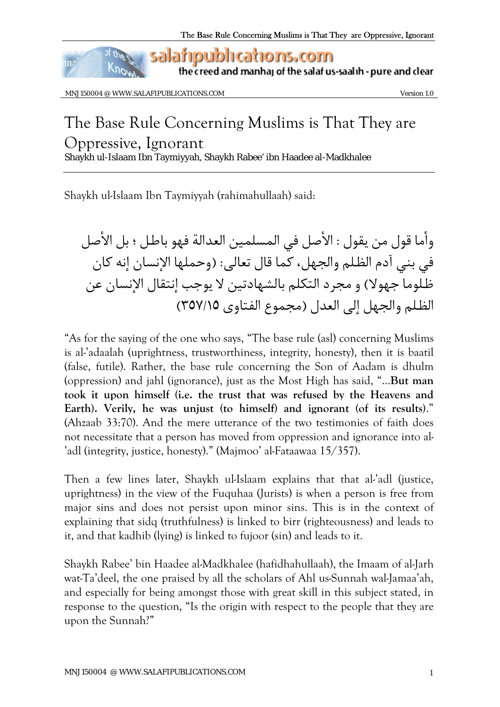

the creed and manhaj of the salaf us-saalih - pure and clear

MNJ150004 @ WWW.SALAFIPUBLICATIONS.COM

Version 1.0

## The Base Rule Concerning Muslims is That They are Oppressive, Ignorant Shaykh ul-Islaam Ibn Taymiyyah, Shaykh Rabee' ibn Haadee al-Madkhalee

Shaykh ul-Islaam Ibn Taymiyyah (rahimahullaah) said:

وأما قول من يقول : الأصل في المسلمين العدالة فهو باطل ؛ بل الأصل في بني آدم الظلم والجهل، كما قال تعالى: (وحملها الإنسان إنه كان ظلوما جهولا) و مجرد التكلم بالشهادتين لا يوجب إنتقال الإنسان عن الظلم والجهل إلى العدل (مجموع الفتاوي ٣٥٧/١٥)

"As for the saying of the one who says, "The base rule (asl) concerning Muslims is al-'adaalah (uprightness, trustworthiness, integrity, honesty), then it is baatil (false, futile). Rather, the base rule concerning the Son of Aadam is dhulm (oppression) and jahl (ignorance), just as the Most High has said, "...But man took it upon himself (i.e. the trust that was refused by the Heavens and Earth). Verily, he was unjust (to himself) and ignorant (of its results)." (Ahzaab 33:70). And the mere utterance of the two testimonies of faith does not necessitate that a person has moved from oppression and ignorance into al-'adl (integrity, justice, honesty)." (Majmoo' al-Fataawaa 15/357).

Then a few lines later, Shaykh ul-Islaam explains that that al-'adl (justice, uprightness) in the view of the Fuquhaa (Jurists) is when a person is free from major sins and does not persist upon minor sins. This is in the context of explaining that sidq (truthfulness) is linked to birr (righteousness) and leads to it, and that kadhib (lying) is linked to fujoor (sin) and leads to it.

Shaykh Rabee' bin Haadee al-Madkhalee (hafidhahullaah), the Imaam of al-Jarh wat-Ta'deel, the one praised by all the scholars of Ahl us-Sunnah wal-Jamaa'ah, and especially for being amongst those with great skill in this subject stated, in response to the question, "Is the origin with respect to the people that they are upon the Sunnah?"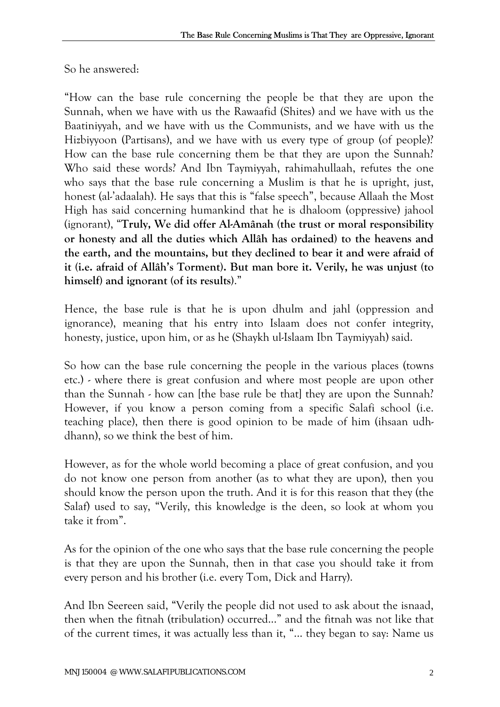So he answered:

"How can the base rule concerning the people be that they are upon the Sunnah, when we have with us the Rawaafid (Shites) and we have with us the Baatiniyyah, and we have with us the Communists, and we have with us the Hizbiyyoon (Partisans), and we have with us every type of group (of people)? How can the base rule concerning them be that they are upon the Sunnah? Who said these words? And Ibn Taymiyyah, rahimahullaah, refutes the one who says that the base rule concerning a Muslim is that he is upright, just, honest (al-'adaalah). He says that this is "false speech", because Allaah the Most High has said concerning humankind that he is dhaloom (oppressive) jahool (ignorant), "**Truly, We did offer Al-Amânah (the trust or moral responsibility or honesty and all the duties which Allâh has ordained) to the heavens and the earth, and the mountains, but they declined to bear it and were afraid of it (i.e. afraid of Allâh's Torment). But man bore it. Verily, he was unjust (to himself) and ignorant (of its results)**."

Hence, the base rule is that he is upon dhulm and jahl (oppression and ignorance), meaning that his entry into Islaam does not confer integrity, honesty, justice, upon him, or as he (Shaykh ul-Islaam Ibn Taymiyyah) said.

So how can the base rule concerning the people in the various places (towns etc.) - where there is great confusion and where most people are upon other than the Sunnah - how can [the base rule be that] they are upon the Sunnah? However, if you know a person coming from a specific Salafi school (i.e. teaching place), then there is good opinion to be made of him (ihsaan udhdhann), so we think the best of him.

However, as for the whole world becoming a place of great confusion, and you do not know one person from another (as to what they are upon), then you should know the person upon the truth. And it is for this reason that they (the Salaf) used to say, "Verily, this knowledge is the deen, so look at whom you take it from".

As for the opinion of the one who says that the base rule concerning the people is that they are upon the Sunnah, then in that case you should take it from every person and his brother (i.e. every Tom, Dick and Harry).

And Ibn Seereen said, "Verily the people did not used to ask about the isnaad, then when the fitnah (tribulation) occurred..." and the fitnah was not like that of the current times, it was actually less than it, "... they began to say: Name us